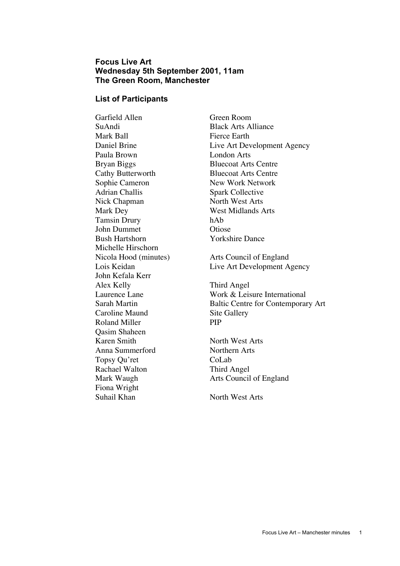## **Focus Live Art Wednesday 5th September 2001, 11am The Green Room, Manchester**

#### **List of Participants**

Garfield Allen Green Room SuAndi Black Arts Alliance Mark Ball Fierce Earth Paula Brown London Arts Bryan Biggs Bluecoat Arts Centre Cathy Butterworth Bluecoat Arts Centre Sophie Cameron New Work Network Adrian Challis Spark Collective Nick Chapman North West Arts Mark Dey West Midlands Arts Tamsin Drury hAb John Dummet Otiose Bush Hartshorn Yorkshire Dance Michelle Hirschorn John Kefala Kerr Alex Kelly Third Angel Caroline Maund Site Gallery Roland Miller PIP Qasim Shaheen Karen Smith North West Arts Anna Summerford Northern Arts Topsy Ou'ret CoLab Rachael Walton Third Angel Fiona Wright Suhail Khan North West Arts

Daniel Brine Live Art Development Agency Nicola Hood (minutes) Arts Council of England Lois Keidan Live Art Development Agency Laurence Lane Work & Leisure International Sarah Martin Baltic Centre for Contemporary Art

Mark Waugh **Arts Council of England**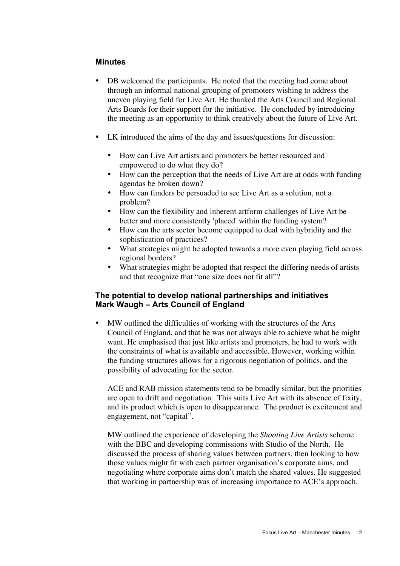#### **Minutes**

DB welcomed the participants. He noted that the meeting had come about through an informal national grouping of promoters wishing to address the uneven playing field for Live Art. He thanked the Arts Council and Regional Arts Boards for their support for the initiative. He concluded by introducing the meeting as an opportunity to think creatively about the future of Live Art.

LK introduced the aims of the day and issues/questions for discussion:

How can Live Art artists and promoters be better resourced and empowered to do what they do?

How can the perception that the needs of Live Art are at odds with funding agendas be broken down?

How can funders be persuaded to see Live Art as a solution, not a problem?

How can the flexibility and inherent artform challenges of Live Art be better and more consistently 'placed' within the funding system?

How can the arts sector become equipped to deal with hybridity and the sophistication of practices?

What strategies might be adopted towards a more even playing field across regional borders?

What strategies might be adopted that respect the differing needs of artists and that recognize that "one size does not fit all"?

#### **The potential to develop national partnerships and initiatives Mark Waugh – Arts Council of England**

MW outlined the difficulties of working with the structures of the Arts Council of England, and that he was not always able to achieve what he might want. He emphasised that just like artists and promoters, he had to work with the constraints of what is available and accessible. However, working within the funding structures allows for a rigorous negotiation of politics, and the possibility of advocating for the sector.

ACE and RAB mission statements tend to be broadly similar, but the priorities are open to drift and negotiation. This suits Live Art with its absence of fixity, and its product which is open to disappearance. The product is excitement and engagement, not "capital".

MW outlined the experience of developing the *Shooting Live Artists* scheme with the BBC and developing commissions with Studio of the North. He discussed the process of sharing values between partners, then looking to how those values might fit with each partner organisation's corporate aims, and negotiating where corporate aims don't match the shared values. He suggested that working in partnership was of increasing importance to ACE's approach.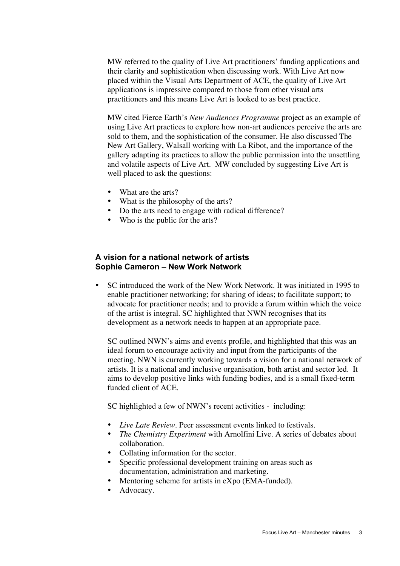MW referred to the quality of Live Art practitioners' funding applications and their clarity and sophistication when discussing work. With Live Art now placed within the Visual Arts Department of ACE, the quality of Live Art applications is impressive compared to those from other visual arts practitioners and this means Live Art is looked to as best practice.

MW cited Fierce Earth's *New Audiences Programme* project as an example of using Live Art practices to explore how non-art audiences perceive the arts are sold to them, and the sophistication of the consumer. He also discussed The New Art Gallery, Walsall working with La Ribot, and the importance of the gallery adapting its practices to allow the public permission into the unsettling and volatile aspects of Live Art. MW concluded by suggesting Live Art is well placed to ask the questions:

What are the arts? What is the philosophy of the arts? Do the arts need to engage with radical difference? Who is the public for the arts?

## **A vision for a national network of artists Sophie Cameron – New Work Network**

SC introduced the work of the New Work Network. It was initiated in 1995 to enable practitioner networking; for sharing of ideas; to facilitate support; to advocate for practitioner needs; and to provide a forum within which the voice of the artist is integral. SC highlighted that NWN recognises that its development as a network needs to happen at an appropriate pace.

SC outlined NWN's aims and events profile, and highlighted that this was an ideal forum to encourage activity and input from the participants of the meeting. NWN is currently working towards a vision for a national network of artists. It is a national and inclusive organisation, both artist and sector led. It aims to develop positive links with funding bodies, and is a small fixed-term funded client of ACE.

SC highlighted a few of NWN's recent activities - including:

*Live Late Review*. Peer assessment events linked to festivals. *The Chemistry Experiment* with Arnolfini Live. A series of debates about collaboration. Collating information for the sector. Specific professional development training on areas such as documentation, administration and marketing. Mentoring scheme for artists in eXpo (EMA-funded). Advocacy.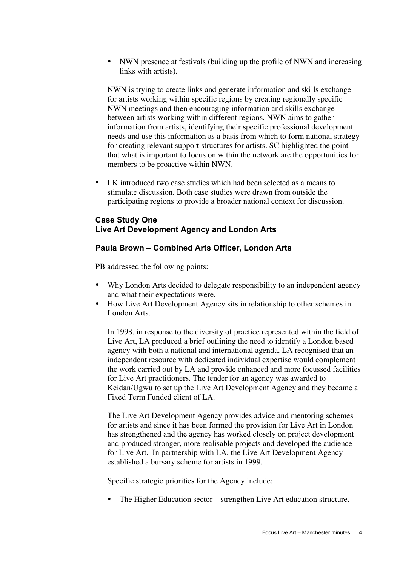NWN presence at festivals (building up the profile of NWN and increasing links with artists).

NWN is trying to create links and generate information and skills exchange for artists working within specific regions by creating regionally specific NWN meetings and then encouraging information and skills exchange between artists working within different regions. NWN aims to gather information from artists, identifying their specific professional development needs and use this information as a basis from which to form national strategy for creating relevant support structures for artists. SC highlighted the point that what is important to focus on within the network are the opportunities for members to be proactive within NWN.

LK introduced two case studies which had been selected as a means to stimulate discussion. Both case studies were drawn from outside the participating regions to provide a broader national context for discussion.

# **Case Study One Live Art Development Agency and London Arts**

## **Paula Brown – Combined Arts Officer, London Arts**

PB addressed the following points:

Why London Arts decided to delegate responsibility to an independent agency and what their expectations were.

How Live Art Development Agency sits in relationship to other schemes in London Arts.

In 1998, in response to the diversity of practice represented within the field of Live Art, LA produced a brief outlining the need to identify a London based agency with both a national and international agenda. LA recognised that an independent resource with dedicated individual expertise would complement the work carried out by LA and provide enhanced and more focussed facilities for Live Art practitioners. The tender for an agency was awarded to Keidan/Ugwu to set up the Live Art Development Agency and they became a Fixed Term Funded client of LA.

The Live Art Development Agency provides advice and mentoring schemes for artists and since it has been formed the provision for Live Art in London has strengthened and the agency has worked closely on project development and produced stronger, more realisable projects and developed the audience for Live Art. In partnership with LA, the Live Art Development Agency established a bursary scheme for artists in 1999.

Specific strategic priorities for the Agency include;

The Higher Education sector – strengthen Live Art education structure.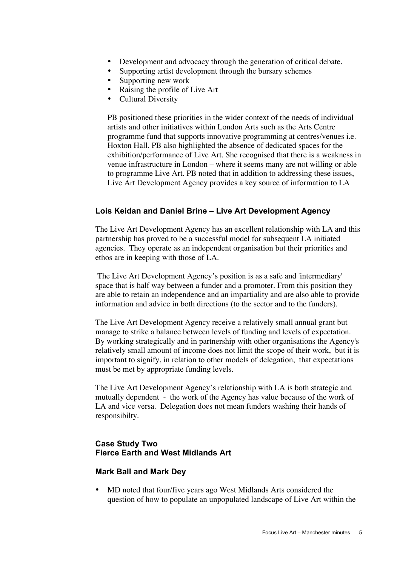Development and advocacy through the generation of critical debate. Supporting artist development through the bursary schemes Supporting new work Raising the profile of Live Art Cultural Diversity

PB positioned these priorities in the wider context of the needs of individual artists and other initiatives within London Arts such as the Arts Centre programme fund that supports innovative programming at centres/venues i.e. Hoxton Hall. PB also highlighted the absence of dedicated spaces for the exhibition/performance of Live Art. She recognised that there is a weakness in venue infrastructure in London – where it seems many are not willing or able to programme Live Art. PB noted that in addition to addressing these issues, Live Art Development Agency provides a key source of information to LA

#### **Lois Keidan and Daniel Brine – Live Art Development Agency**

The Live Art Development Agency has an excellent relationship with LA and this partnership has proved to be a successful model for subsequent LA initiated agencies. They operate as an independent organisation but their priorities and ethos are in keeping with those of LA.

 The Live Art Development Agency's position is as a safe and 'intermediary' space that is half way between a funder and a promoter. From this position they are able to retain an independence and an impartiality and are also able to provide information and advice in both directions (to the sector and to the funders).

The Live Art Development Agency receive a relatively small annual grant but manage to strike a balance between levels of funding and levels of expectation. By working strategically and in partnership with other organisations the Agency's relatively small amount of income does not limit the scope of their work, but it is important to signify, in relation to other models of delegation, that expectations must be met by appropriate funding levels.

The Live Art Development Agency's relationship with LA is both strategic and mutually dependent - the work of the Agency has value because of the work of LA and vice versa. Delegation does not mean funders washing their hands of responsibilty.

## **Case Study Two Fierce Earth and West Midlands Art**

#### **Mark Ball and Mark Dey**

MD noted that four/five years ago West Midlands Arts considered the question of how to populate an unpopulated landscape of Live Art within the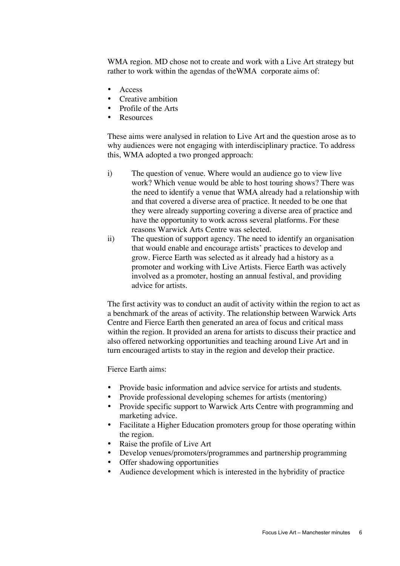WMA region. MD chose not to create and work with a Live Art strategy but rather to work within the agendas of theWMA corporate aims of:

Access Creative ambition Profile of the Arts Resources

These aims were analysed in relation to Live Art and the question arose as to why audiences were not engaging with interdisciplinary practice. To address this, WMA adopted a two pronged approach:

- i) The question of venue. Where would an audience go to view live work? Which venue would be able to host touring shows? There was the need to identify a venue that WMA already had a relationship with and that covered a diverse area of practice. It needed to be one that they were already supporting covering a diverse area of practice and have the opportunity to work across several platforms. For these reasons Warwick Arts Centre was selected.
- ii) The question of support agency. The need to identify an organisation that would enable and encourage artists' practices to develop and grow. Fierce Earth was selected as it already had a history as a promoter and working with Live Artists. Fierce Earth was actively involved as a promoter, hosting an annual festival, and providing advice for artists.

The first activity was to conduct an audit of activity within the region to act as a benchmark of the areas of activity. The relationship between Warwick Arts Centre and Fierce Earth then generated an area of focus and critical mass within the region. It provided an arena for artists to discuss their practice and also offered networking opportunities and teaching around Live Art and in turn encouraged artists to stay in the region and develop their practice.

Fierce Earth aims:

Provide basic information and advice service for artists and students. Provide professional developing schemes for artists (mentoring) Provide specific support to Warwick Arts Centre with programming and marketing advice.

Facilitate a Higher Education promoters group for those operating within the region.

Raise the profile of Live Art

Develop venues/promoters/programmes and partnership programming Offer shadowing opportunities

Audience development which is interested in the hybridity of practice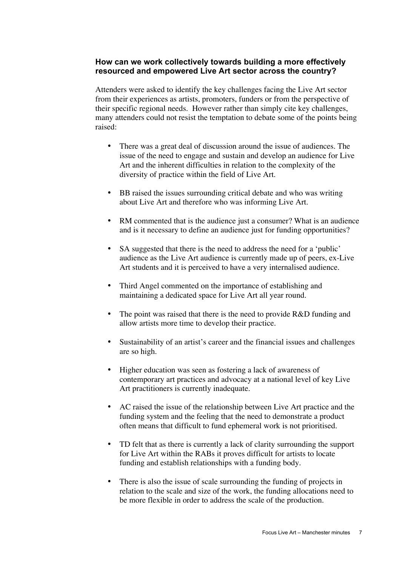# **How can we work collectively towards building a more effectively resourced and empowered Live Art sector across the country?**

Attenders were asked to identify the key challenges facing the Live Art sector from their experiences as artists, promoters, funders or from the perspective of their specific regional needs. However rather than simply cite key challenges, many attenders could not resist the temptation to debate some of the points being raised:

There was a great deal of discussion around the issue of audiences. The issue of the need to engage and sustain and develop an audience for Live Art and the inherent difficulties in relation to the complexity of the diversity of practice within the field of Live Art.

BB raised the issues surrounding critical debate and who was writing about Live Art and therefore who was informing Live Art.

RM commented that is the audience just a consumer? What is an audience and is it necessary to define an audience just for funding opportunities?

SA suggested that there is the need to address the need for a 'public' audience as the Live Art audience is currently made up of peers, ex-Live Art students and it is perceived to have a very internalised audience.

Third Angel commented on the importance of establishing and maintaining a dedicated space for Live Art all year round.

The point was raised that there is the need to provide R&D funding and allow artists more time to develop their practice.

Sustainability of an artist's career and the financial issues and challenges are so high.

Higher education was seen as fostering a lack of awareness of contemporary art practices and advocacy at a national level of key Live Art practitioners is currently inadequate.

AC raised the issue of the relationship between Live Art practice and the funding system and the feeling that the need to demonstrate a product often means that difficult to fund ephemeral work is not prioritised.

TD felt that as there is currently a lack of clarity surrounding the support for Live Art within the RABs it proves difficult for artists to locate funding and establish relationships with a funding body.

There is also the issue of scale surrounding the funding of projects in relation to the scale and size of the work, the funding allocations need to be more flexible in order to address the scale of the production.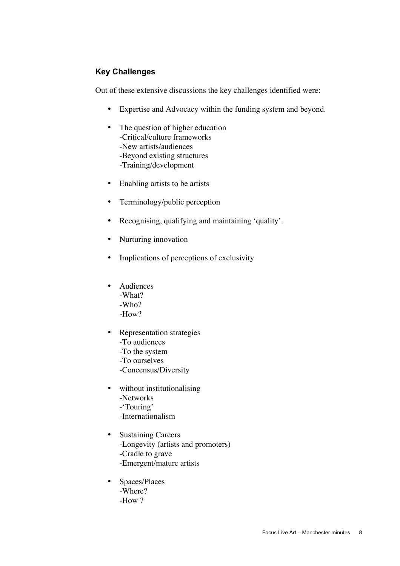# **Key Challenges**

Out of these extensive discussions the key challenges identified were:

Expertise and Advocacy within the funding system and beyond.

The question of higher education

-Critical/culture frameworks

-New artists/audiences

-Beyond existing structures

-Training/development

Enabling artists to be artists

Terminology/public perception

Recognising, qualifying and maintaining 'quality'.

Nurturing innovation

Implications of perceptions of exclusivity

Audiences -What? -Who?  $-How?$ 

Representation strategies -To audiences -To the system -To ourselves -Concensus/Diversity

without institutionalising -Networks -'Touring' -Internationalism

Sustaining Careers -Longevity (artists and promoters) -Cradle to grave -Emergent/mature artists

Spaces/Places -Where? -How ?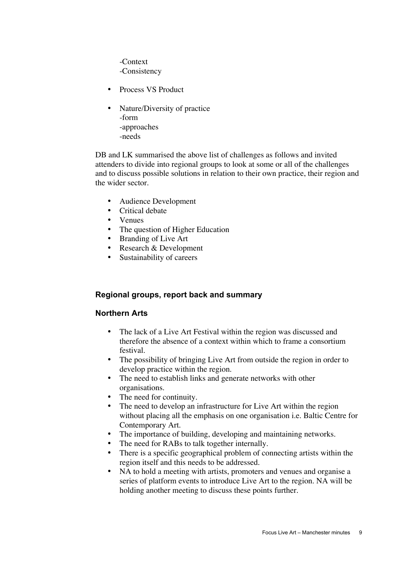-Context -Consistency

Process VS Product

Nature/Diversity of practice -form -approaches -needs

DB and LK summarised the above list of challenges as follows and invited attenders to divide into regional groups to look at some or all of the challenges and to discuss possible solutions in relation to their own practice, their region and the wider sector.

Audience Development Critical debate Venues The question of Higher Education Branding of Live Art Research & Development Sustainability of careers

# **Regional groups, report back and summary**

# **Northern Arts**

The lack of a Live Art Festival within the region was discussed and therefore the absence of a context within which to frame a consortium festival.

The possibility of bringing Live Art from outside the region in order to develop practice within the region.

The need to establish links and generate networks with other organisations.

The need for continuity.

The need to develop an infrastructure for Live Art within the region without placing all the emphasis on one organisation i.e. Baltic Centre for Contemporary Art.

The importance of building, developing and maintaining networks. The need for RABs to talk together internally.

There is a specific geographical problem of connecting artists within the region itself and this needs to be addressed.

NA to hold a meeting with artists, promoters and venues and organise a series of platform events to introduce Live Art to the region. NA will be holding another meeting to discuss these points further.